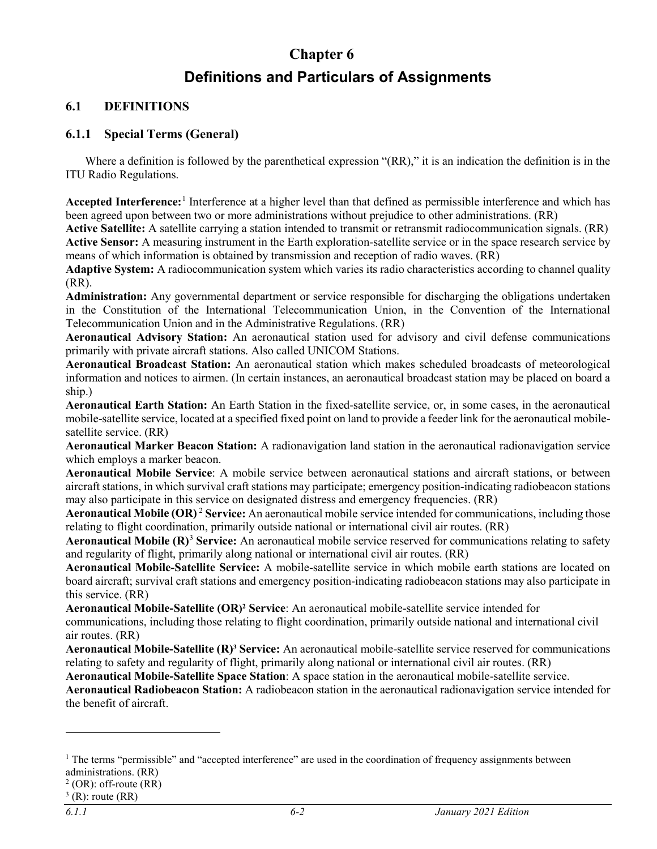# **Chapter 6 Definitions and Particulars of Assignments**

## **6.1 DEFINITIONS**

## **6.1.1 Special Terms (General)**

Where a definition is followed by the parenthetical expression "(RR)," it is an indication the definition is in the ITU Radio Regulations.

**Accepted Interference:**[1](#page-0-2) Interference at a higher level than that defined as permissible interference and which has been agreed upon between two or more administrations without prejudice to other administrations. (RR)

**Active Satellite:** A satellite carrying a station intended to transmit or retransmit radiocommunication signals. (RR) **Active Sensor:** A measuring instrument in the Earth exploration-satellite service or in the space research service by means of which information is obtained by transmission and reception of radio waves. (RR)

**Adaptive System:** A radiocommunication system which varies its radio characteristics according to channel quality (RR).

**Administration:** Any governmental department or service responsible for discharging the obligations undertaken in the Constitution of the International Telecommunication Union, in the Convention of the International Telecommunication Union and in the Administrative Regulations. (RR)

**Aeronautical Advisory Station:** An aeronautical station used for advisory and civil defense communications primarily with private aircraft stations. Also called UNICOM Stations.

**Aeronautical Broadcast Station:** An aeronautical station which makes scheduled broadcasts of meteorological information and notices to airmen. (In certain instances, an aeronautical broadcast station may be placed on board a ship.)

**Aeronautical Earth Station:** An Earth Station in the fixed-satellite service, or, in some cases, in the aeronautical mobile-satellite service, located at a specified fixed point on land to provide a feeder link for the aeronautical mobilesatellite service. (RR)

**Aeronautical Marker Beacon Station:** A radionavigation land station in the aeronautical radionavigation service which employs a marker beacon.

**Aeronautical Mobile Service**: A mobile service between aeronautical stations and aircraft stations, or between aircraft stations, in which survival craft stations may participate; emergency position-indicating radiobeacon stations may also participate in this service on designated distress and emergency frequencies. (RR)

<span id="page-0-0"></span>**Aeronautical Mobile (OR)** [2](#page-0-3) **Service:** An aeronautical mobile service intended for communications, including those relating to flight coordination, primarily outside national or international civil air routes. (RR)

<span id="page-0-1"></span>**Aeronautical Mobile (R)**[3](#page-0-4) **Service:** An aeronautical mobile service reserved for communications relating to safety and regularity of flight, primarily along national or international civil air routes. (RR)

**Aeronautical Mobile-Satellite Service:** A mobile-satellite service in which mobile earth stations are located on board aircraft; survival craft stations and emergency position-indicating radiobeacon stations may also participate in this service. (RR)

**Aeronautical Mobile-Satellite (OR[\)](#page-0-0) <sup>2</sup> Service**: An aeronautical mobile-satellite service intended for

communications, including those relating to flight coordination, primarily outside national and international civil air routes. (RR)

**Aeronautical Mobile-Satellite (R[\)3](#page-0-1) Service:** An aeronautical mobile-satellite service reserved for communications relating to safety and regularity of flight, primarily along national or international civil air routes. (RR)

**Aeronautical Mobile-Satellite Space Station**: A space station in the aeronautical mobile-satellite service.

**Aeronautical Radiobeacon Station:** A radiobeacon station in the aeronautical radionavigation service intended for the benefit of aircraft.

<span id="page-0-2"></span><sup>&</sup>lt;sup>1</sup> The terms "permissible" and "accepted interference" are used in the coordination of frequency assignments between administrations. (RR)

<span id="page-0-3"></span> $2$  (OR): off-route (RR)

<span id="page-0-4"></span> $3$  (R): route (RR)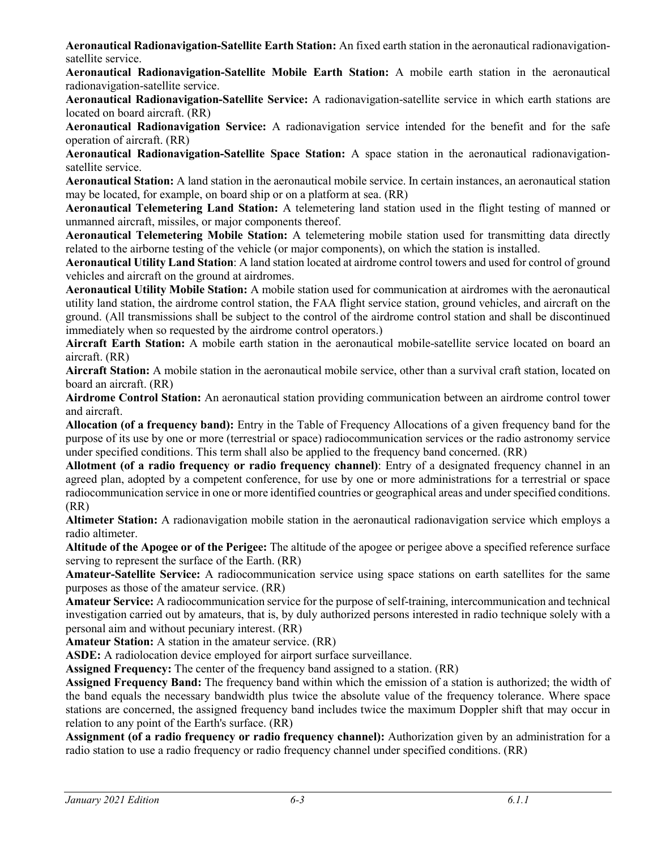**Aeronautical Radionavigation-Satellite Earth Station:** An fixed earth station in the aeronautical radionavigationsatellite service.

**Aeronautical Radionavigation-Satellite Mobile Earth Station:** A mobile earth station in the aeronautical radionavigation-satellite service.

**Aeronautical Radionavigation-Satellite Service:** A radionavigation-satellite service in which earth stations are located on board aircraft. (RR)

**Aeronautical Radionavigation Service:** A radionavigation service intended for the benefit and for the safe operation of aircraft. (RR)

**Aeronautical Radionavigation-Satellite Space Station:** A space station in the aeronautical radionavigationsatellite service.

**Aeronautical Station:** A land station in the aeronautical mobile service. In certain instances, an aeronautical station may be located, for example, on board ship or on a platform at sea. (RR)

**Aeronautical Telemetering Land Station:** A telemetering land station used in the flight testing of manned or unmanned aircraft, missiles, or major components thereof.

**Aeronautical Telemetering Mobile Station:** A telemetering mobile station used for transmitting data directly related to the airborne testing of the vehicle (or major components), on which the station is installed.

**Aeronautical Utility Land Station**: A land station located at airdrome control towers and used for control of ground vehicles and aircraft on the ground at airdromes.

**Aeronautical Utility Mobile Station:** A mobile station used for communication at airdromes with the aeronautical utility land station, the airdrome control station, the FAA flight service station, ground vehicles, and aircraft on the ground. (All transmissions shall be subject to the control of the airdrome control station and shall be discontinued immediately when so requested by the airdrome control operators.)

**Aircraft Earth Station:** A mobile earth station in the aeronautical mobile-satellite service located on board an aircraft. (RR)

**Aircraft Station:** A mobile station in the aeronautical mobile service, other than a survival craft station, located on board an aircraft. (RR)

**Airdrome Control Station:** An aeronautical station providing communication between an airdrome control tower and aircraft.

**Allocation (of a frequency band):** Entry in the Table of Frequency Allocations of a given frequency band for the purpose of its use by one or more (terrestrial or space) radiocommunication services or the radio astronomy service under specified conditions. This term shall also be applied to the frequency band concerned. (RR)

**Allotment (of a radio frequency or radio frequency channel)**: Entry of a designated frequency channel in an agreed plan, adopted by a competent conference, for use by one or more administrations for a terrestrial or space radiocommunication service in one or more identified countries or geographical areas and under specified conditions. (RR)

**Altimeter Station:** A radionavigation mobile station in the aeronautical radionavigation service which employs a radio altimeter.

**Altitude of the Apogee or of the Perigee:** The altitude of the apogee or perigee above a specified reference surface serving to represent the surface of the Earth. (RR)

**Amateur-Satellite Service:** A radiocommunication service using space stations on earth satellites for the same purposes as those of the amateur service. (RR)

**Amateur Service:** A radiocommunication service for the purpose of self-training, intercommunication and technical investigation carried out by amateurs, that is, by duly authorized persons interested in radio technique solely with a personal aim and without pecuniary interest. (RR)

**Amateur Station:** A station in the amateur service. (RR)

**ASDE:** A radiolocation device employed for airport surface surveillance.

**Assigned Frequency:** The center of the frequency band assigned to a station. (RR)

**Assigned Frequency Band:** The frequency band within which the emission of a station is authorized; the width of the band equals the necessary bandwidth plus twice the absolute value of the frequency tolerance. Where space stations are concerned, the assigned frequency band includes twice the maximum Doppler shift that may occur in relation to any point of the Earth's surface. (RR)

**Assignment (of a radio frequency or radio frequency channel):** Authorization given by an administration for a radio station to use a radio frequency or radio frequency channel under specified conditions. (RR)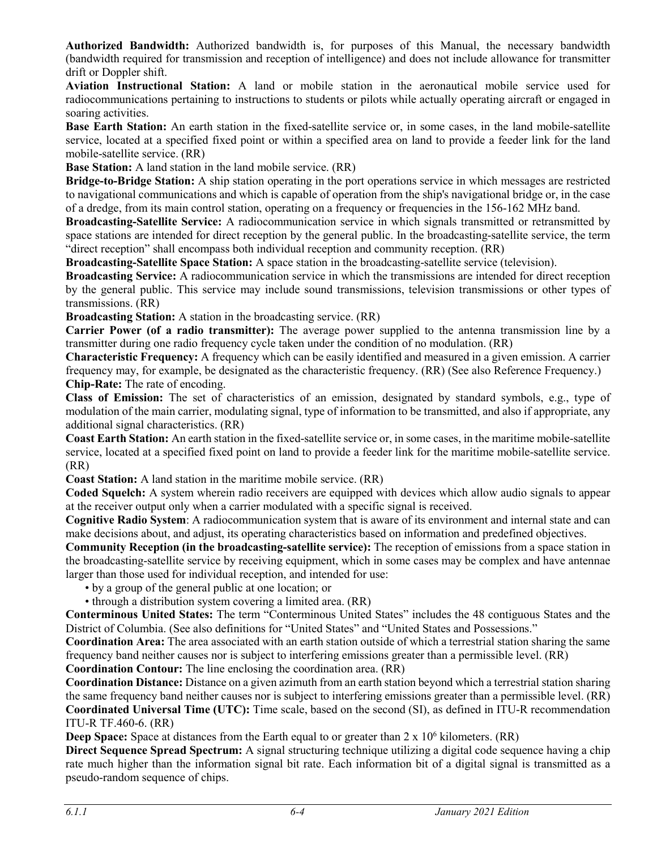**Authorized Bandwidth:** Authorized bandwidth is, for purposes of this Manual, the necessary bandwidth (bandwidth required for transmission and reception of intelligence) and does not include allowance for transmitter drift or Doppler shift.

**Aviation Instructional Station:** A land or mobile station in the aeronautical mobile service used for radiocommunications pertaining to instructions to students or pilots while actually operating aircraft or engaged in soaring activities.

**Base Earth Station:** An earth station in the fixed-satellite service or, in some cases, in the land mobile-satellite service, located at a specified fixed point or within a specified area on land to provide a feeder link for the land mobile-satellite service. (RR)

**Base Station:** A land station in the land mobile service. (RR)

**Bridge-to-Bridge Station:** A ship station operating in the port operations service in which messages are restricted to navigational communications and which is capable of operation from the ship's navigational bridge or, in the case of a dredge, from its main control station, operating on a frequency or frequencies in the 156-162 MHz band.

**Broadcasting-Satellite Service:** A radiocommunication service in which signals transmitted or retransmitted by space stations are intended for direct reception by the general public. In the broadcasting-satellite service, the term "direct reception" shall encompass both individual reception and community reception. (RR)

**Broadcasting-Satellite Space Station:** A space station in the broadcasting-satellite service (television).

**Broadcasting Service:** A radiocommunication service in which the transmissions are intended for direct reception by the general public. This service may include sound transmissions, television transmissions or other types of transmissions. (RR)

**Broadcasting Station:** A station in the broadcasting service. (RR)

**Carrier Power (of a radio transmitter):** The average power supplied to the antenna transmission line by a transmitter during one radio frequency cycle taken under the condition of no modulation. (RR)

**Characteristic Frequency:** A frequency which can be easily identified and measured in a given emission. A carrier frequency may, for example, be designated as the characteristic frequency. (RR) (See also Reference Frequency.) **Chip-Rate:** The rate of encoding.

**Class of Emission:** The set of characteristics of an emission, designated by standard symbols, e.g., type of modulation of the main carrier, modulating signal, type of information to be transmitted, and also if appropriate, any additional signal characteristics. (RR)

**Coast Earth Station:** An earth station in the fixed-satellite service or, in some cases, in the maritime mobile-satellite service, located at a specified fixed point on land to provide a feeder link for the maritime mobile-satellite service. (RR)

**Coast Station:** A land station in the maritime mobile service. (RR)

**Coded Squelch:** A system wherein radio receivers are equipped with devices which allow audio signals to appear at the receiver output only when a carrier modulated with a specific signal is received.

**Cognitive Radio System**: A radiocommunication system that is aware of its environment and internal state and can make decisions about, and adjust, its operating characteristics based on information and predefined objectives.

**Community Reception (in the broadcasting-satellite service):** The reception of emissions from a space station in the broadcasting-satellite service by receiving equipment, which in some cases may be complex and have antennae larger than those used for individual reception, and intended for use:

• by a group of the general public at one location; or

• through a distribution system covering a limited area. (RR)

**Conterminous United States:** The term "Conterminous United States" includes the 48 contiguous States and the District of Columbia. (See also definitions for "United States" and "United States and Possessions."

**Coordination Area:** The area associated with an earth station outside of which a terrestrial station sharing the same frequency band neither causes nor is subject to interfering emissions greater than a permissible level. (RR)

**Coordination Contour:** The line enclosing the coordination area. (RR)

**Coordination Distance:** Distance on a given azimuth from an earth station beyond which a terrestrial station sharing the same frequency band neither causes nor is subject to interfering emissions greater than a permissible level. (RR) **Coordinated Universal Time (UTC):** Time scale, based on the second (SI), as defined in ITU-R recommendation ITU-R TF.460-6. (RR)

**Deep Space:** Space at distances from the Earth equal to or greater than 2 x 10<sup>6</sup> kilometers. (RR)

**Direct Sequence Spread Spectrum:** A signal structuring technique utilizing a digital code sequence having a chip rate much higher than the information signal bit rate. Each information bit of a digital signal is transmitted as a pseudo-random sequence of chips.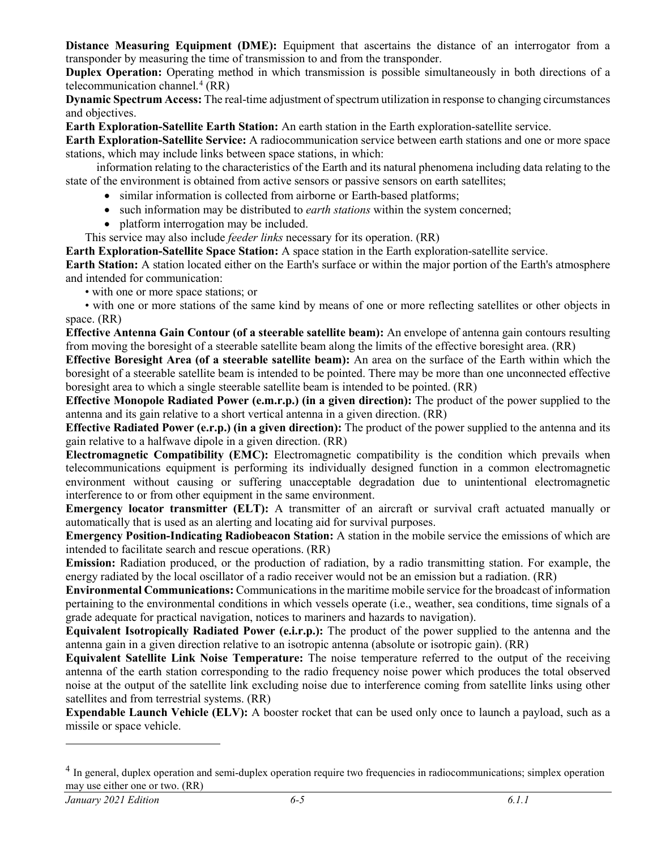**Distance Measuring Equipment (DME):** Equipment that ascertains the distance of an interrogator from a transponder by measuring the time of transmission to and from the transponder.

**Duplex Operation:** Operating method in which transmission is possible simultaneously in both directions of a telecommunication channel.<sup>[4](#page-3-0)</sup> (RR)

**Dynamic Spectrum Access:** The real-time adjustment of spectrum utilization in response to changing circumstances and objectives.

**Earth Exploration-Satellite Earth Station:** An earth station in the Earth exploration-satellite service.

**Earth Exploration-Satellite Service:** A radiocommunication service between earth stations and one or more space stations, which may include links between space stations, in which:

information relating to the characteristics of the Earth and its natural phenomena including data relating to the state of the environment is obtained from active sensors or passive sensors on earth satellites;

- similar information is collected from airborne or Earth-based platforms;
- such information may be distributed to *earth stations* within the system concerned;
- platform interrogation may be included.

This service may also include *feeder links* necessary for its operation. (RR)

**Earth Exploration-Satellite Space Station:** A space station in the Earth exploration-satellite service.

**Earth Station:** A station located either on the Earth's surface or within the major portion of the Earth's atmosphere and intended for communication:

• with one or more space stations; or

• with one or more stations of the same kind by means of one or more reflecting satellites or other objects in space. (RR)

**Effective Antenna Gain Contour (of a steerable satellite beam):** An envelope of antenna gain contours resulting from moving the boresight of a steerable satellite beam along the limits of the effective boresight area. (RR)

**Effective Boresight Area (of a steerable satellite beam):** An area on the surface of the Earth within which the boresight of a steerable satellite beam is intended to be pointed. There may be more than one unconnected effective boresight area to which a single steerable satellite beam is intended to be pointed. (RR)

**Effective Monopole Radiated Power (e.m.r.p.) (in a given direction):** The product of the power supplied to the antenna and its gain relative to a short vertical antenna in a given direction. (RR)

**Effective Radiated Power (e.r.p.) (in a given direction):** The product of the power supplied to the antenna and its gain relative to a halfwave dipole in a given direction. (RR)

**Electromagnetic Compatibility (EMC):** Electromagnetic compatibility is the condition which prevails when telecommunications equipment is performing its individually designed function in a common electromagnetic environment without causing or suffering unacceptable degradation due to unintentional electromagnetic interference to or from other equipment in the same environment.

**Emergency locator transmitter (ELT):** A transmitter of an aircraft or survival craft actuated manually or automatically that is used as an alerting and locating aid for survival purposes.

**Emergency Position-Indicating Radiobeacon Station:** A station in the mobile service the emissions of which are intended to facilitate search and rescue operations. (RR)

**Emission:** Radiation produced, or the production of radiation, by a radio transmitting station. For example, the energy radiated by the local oscillator of a radio receiver would not be an emission but a radiation. (RR)

**Environmental Communications:** Communications in the maritime mobile service for the broadcast of information pertaining to the environmental conditions in which vessels operate (i.e., weather, sea conditions, time signals of a grade adequate for practical navigation, notices to mariners and hazards to navigation).

**Equivalent Isotropically Radiated Power (e.i.r.p.):** The product of the power supplied to the antenna and the antenna gain in a given direction relative to an isotropic antenna (absolute or isotropic gain). (RR)

**Equivalent Satellite Link Noise Temperature:** The noise temperature referred to the output of the receiving antenna of the earth station corresponding to the radio frequency noise power which produces the total observed noise at the output of the satellite link excluding noise due to interference coming from satellite links using other satellites and from terrestrial systems. (RR)

**Expendable Launch Vehicle (ELV):** A booster rocket that can be used only once to launch a payload, such as a missile or space vehicle.

<span id="page-3-0"></span><sup>&</sup>lt;sup>4</sup> In general, duplex operation and semi-duplex operation require two frequencies in radiocommunications; simplex operation may use either one or two. (RR)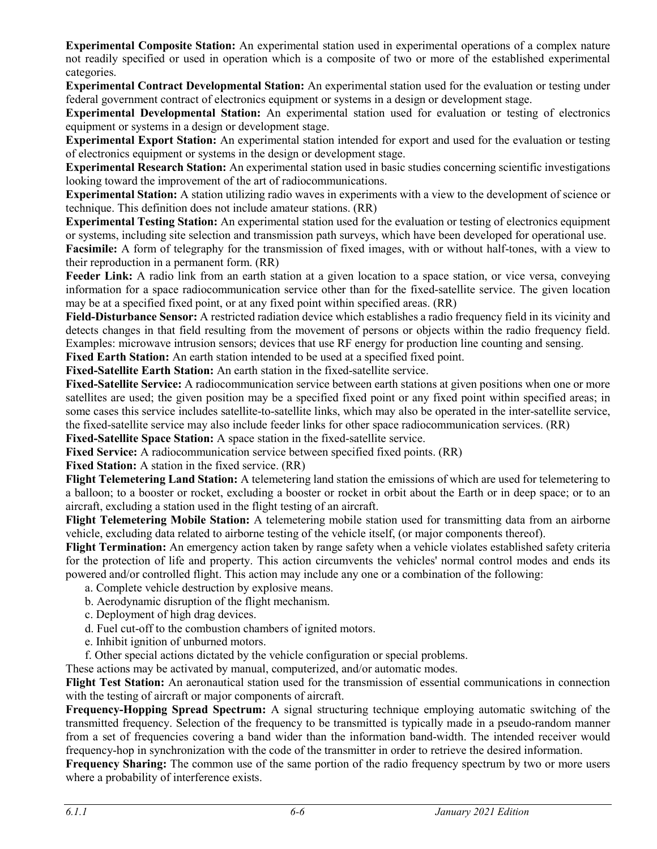**Experimental Composite Station:** An experimental station used in experimental operations of a complex nature not readily specified or used in operation which is a composite of two or more of the established experimental categories.

**Experimental Contract Developmental Station:** An experimental station used for the evaluation or testing under federal government contract of electronics equipment or systems in a design or development stage.

**Experimental Developmental Station:** An experimental station used for evaluation or testing of electronics equipment or systems in a design or development stage.

**Experimental Export Station:** An experimental station intended for export and used for the evaluation or testing of electronics equipment or systems in the design or development stage.

**Experimental Research Station:** An experimental station used in basic studies concerning scientific investigations looking toward the improvement of the art of radiocommunications.

**Experimental Station:** A station utilizing radio waves in experiments with a view to the development of science or technique. This definition does not include amateur stations. (RR)

**Experimental Testing Station:** An experimental station used for the evaluation or testing of electronics equipment or systems, including site selection and transmission path surveys, which have been developed for operational use.

**Facsimile:** A form of telegraphy for the transmission of fixed images, with or without half-tones, with a view to their reproduction in a permanent form. (RR)

**Feeder Link:** A radio link from an earth station at a given location to a space station, or vice versa, conveying information for a space radiocommunication service other than for the fixed-satellite service. The given location may be at a specified fixed point, or at any fixed point within specified areas. (RR)

**Field-Disturbance Sensor:** A restricted radiation device which establishes a radio frequency field in its vicinity and detects changes in that field resulting from the movement of persons or objects within the radio frequency field. Examples: microwave intrusion sensors; devices that use RF energy for production line counting and sensing.

**Fixed Earth Station:** An earth station intended to be used at a specified fixed point.

**Fixed-Satellite Earth Station:** An earth station in the fixed-satellite service.

**Fixed-Satellite Service:** A radiocommunication service between earth stations at given positions when one or more satellites are used; the given position may be a specified fixed point or any fixed point within specified areas; in some cases this service includes satellite-to-satellite links, which may also be operated in the inter-satellite service, the fixed-satellite service may also include feeder links for other space radiocommunication services. (RR)

**Fixed-Satellite Space Station:** A space station in the fixed-satellite service.

**Fixed Service:** A radiocommunication service between specified fixed points. (RR)

**Fixed Station:** A station in the fixed service. (RR)

**Flight Telemetering Land Station:** A telemetering land station the emissions of which are used for telemetering to a balloon; to a booster or rocket, excluding a booster or rocket in orbit about the Earth or in deep space; or to an aircraft, excluding a station used in the flight testing of an aircraft.

**Flight Telemetering Mobile Station:** A telemetering mobile station used for transmitting data from an airborne vehicle, excluding data related to airborne testing of the vehicle itself, (or major components thereof).

**Flight Termination:** An emergency action taken by range safety when a vehicle violates established safety criteria for the protection of life and property. This action circumvents the vehicles' normal control modes and ends its powered and/or controlled flight. This action may include any one or a combination of the following:

- a. Complete vehicle destruction by explosive means.
- b. Aerodynamic disruption of the flight mechanism.
- c. Deployment of high drag devices.
- d. Fuel cut-off to the combustion chambers of ignited motors.
- e. Inhibit ignition of unburned motors.
- f. Other special actions dictated by the vehicle configuration or special problems.

These actions may be activated by manual, computerized, and/or automatic modes.

**Flight Test Station:** An aeronautical station used for the transmission of essential communications in connection with the testing of aircraft or major components of aircraft.

**Frequency-Hopping Spread Spectrum:** A signal structuring technique employing automatic switching of the transmitted frequency. Selection of the frequency to be transmitted is typically made in a pseudo-random manner from a set of frequencies covering a band wider than the information band-width. The intended receiver would frequency-hop in synchronization with the code of the transmitter in order to retrieve the desired information.

**Frequency Sharing:** The common use of the same portion of the radio frequency spectrum by two or more users where a probability of interference exists.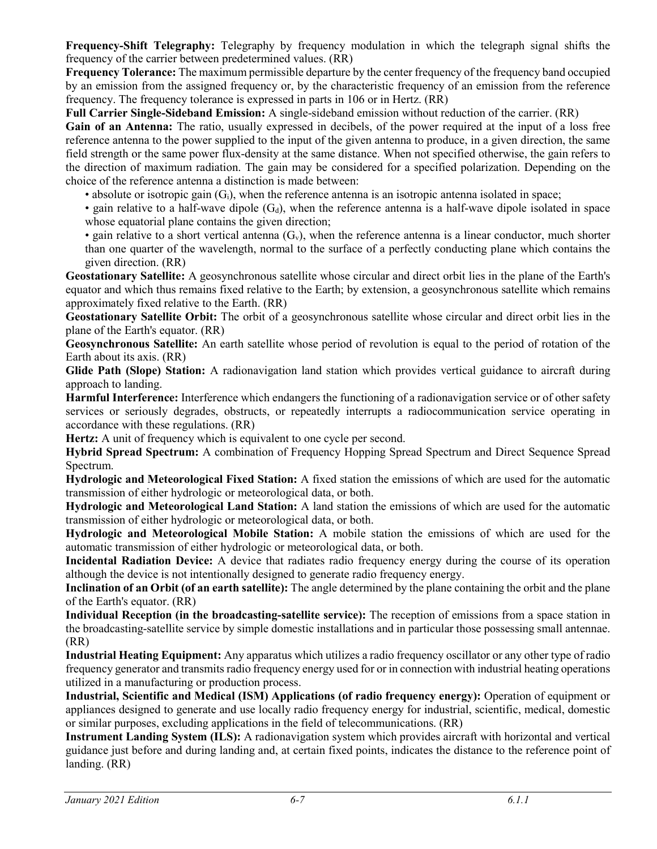**Frequency-Shift Telegraphy:** Telegraphy by frequency modulation in which the telegraph signal shifts the frequency of the carrier between predetermined values. (RR)

**Frequency Tolerance:** The maximum permissible departure by the center frequency of the frequency band occupied by an emission from the assigned frequency or, by the characteristic frequency of an emission from the reference frequency. The frequency tolerance is expressed in parts in 106 or in Hertz. (RR)

**Full Carrier Single-Sideband Emission:** A single-sideband emission without reduction of the carrier. (RR)

**Gain of an Antenna:** The ratio, usually expressed in decibels, of the power required at the input of a loss free reference antenna to the power supplied to the input of the given antenna to produce, in a given direction, the same field strength or the same power flux-density at the same distance. When not specified otherwise, the gain refers to the direction of maximum radiation. The gain may be considered for a specified polarization. Depending on the choice of the reference antenna a distinction is made between:

• absolute or isotropic gain  $(G_i)$ , when the reference antenna is an isotropic antenna isolated in space;

• gain relative to a half-wave dipole  $(G_d)$ , when the reference antenna is a half-wave dipole isolated in space whose equatorial plane contains the given direction;

• gain relative to a short vertical antenna  $(G_v)$ , when the reference antenna is a linear conductor, much shorter than one quarter of the wavelength, normal to the surface of a perfectly conducting plane which contains the given direction. (RR)

**Geostationary Satellite:** A geosynchronous satellite whose circular and direct orbit lies in the plane of the Earth's equator and which thus remains fixed relative to the Earth; by extension, a geosynchronous satellite which remains approximately fixed relative to the Earth. (RR)

**Geostationary Satellite Orbit:** The orbit of a geosynchronous satellite whose circular and direct orbit lies in the plane of the Earth's equator. (RR)

**Geosynchronous Satellite:** An earth satellite whose period of revolution is equal to the period of rotation of the Earth about its axis. (RR)

**Glide Path (Slope) Station:** A radionavigation land station which provides vertical guidance to aircraft during approach to landing.

**Harmful Interference:** Interference which endangers the functioning of a radionavigation service or of other safety services or seriously degrades, obstructs, or repeatedly interrupts a radiocommunication service operating in accordance with these regulations. (RR)

**Hertz:** A unit of frequency which is equivalent to one cycle per second.

**Hybrid Spread Spectrum:** A combination of Frequency Hopping Spread Spectrum and Direct Sequence Spread Spectrum.

**Hydrologic and Meteorological Fixed Station:** A fixed station the emissions of which are used for the automatic transmission of either hydrologic or meteorological data, or both.

**Hydrologic and Meteorological Land Station:** A land station the emissions of which are used for the automatic transmission of either hydrologic or meteorological data, or both.

**Hydrologic and Meteorological Mobile Station:** A mobile station the emissions of which are used for the automatic transmission of either hydrologic or meteorological data, or both.

**Incidental Radiation Device:** A device that radiates radio frequency energy during the course of its operation although the device is not intentionally designed to generate radio frequency energy.

**Inclination of an Orbit (of an earth satellite):** The angle determined by the plane containing the orbit and the plane of the Earth's equator. (RR)

**Individual Reception (in the broadcasting-satellite service):** The reception of emissions from a space station in the broadcasting-satellite service by simple domestic installations and in particular those possessing small antennae. (RR)

**Industrial Heating Equipment:** Any apparatus which utilizes a radio frequency oscillator or any other type of radio frequency generator and transmits radio frequency energy used for or in connection with industrial heating operations utilized in a manufacturing or production process.

**Industrial, Scientific and Medical (ISM) Applications (of radio frequency energy):** Operation of equipment or appliances designed to generate and use locally radio frequency energy for industrial, scientific, medical, domestic or similar purposes, excluding applications in the field of telecommunications. (RR)

**Instrument Landing System (ILS):** A radionavigation system which provides aircraft with horizontal and vertical guidance just before and during landing and, at certain fixed points, indicates the distance to the reference point of landing. (RR)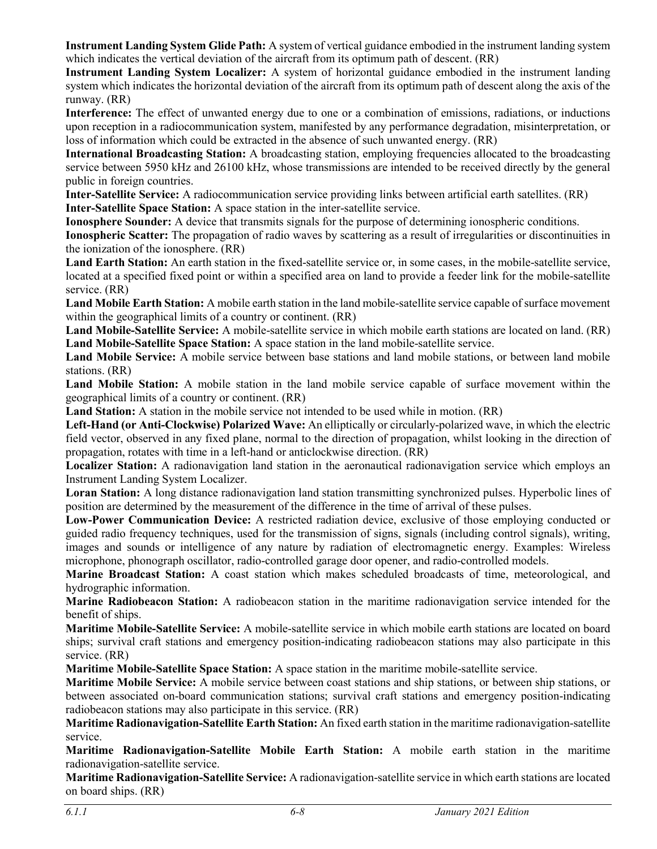**Instrument Landing System Glide Path:** A system of vertical guidance embodied in the instrument landing system which indicates the vertical deviation of the aircraft from its optimum path of descent. (RR)

**Instrument Landing System Localizer:** A system of horizontal guidance embodied in the instrument landing system which indicates the horizontal deviation of the aircraft from its optimum path of descent along the axis of the runway. (RR)

**Interference:** The effect of unwanted energy due to one or a combination of emissions, radiations, or inductions upon reception in a radiocommunication system, manifested by any performance degradation, misinterpretation, or loss of information which could be extracted in the absence of such unwanted energy. (RR)

**International Broadcasting Station:** A broadcasting station, employing frequencies allocated to the broadcasting service between 5950 kHz and 26100 kHz, whose transmissions are intended to be received directly by the general public in foreign countries.

**Inter-Satellite Service:** A radiocommunication service providing links between artificial earth satellites. (RR) **Inter-Satellite Space Station:** A space station in the inter-satellite service.

**Ionosphere Sounder:** A device that transmits signals for the purpose of determining ionospheric conditions.

**Ionospheric Scatter:** The propagation of radio waves by scattering as a result of irregularities or discontinuities in the ionization of the ionosphere. (RR)

**Land Earth Station:** An earth station in the fixed-satellite service or, in some cases, in the mobile-satellite service, located at a specified fixed point or within a specified area on land to provide a feeder link for the mobile-satellite service. (RR)

**Land Mobile Earth Station:** A mobile earth station in the land mobile-satellite service capable of surface movement within the geographical limits of a country or continent. (RR)

**Land Mobile-Satellite Service:** A mobile-satellite service in which mobile earth stations are located on land. (RR) **Land Mobile-Satellite Space Station:** A space station in the land mobile-satellite service.

**Land Mobile Service:** A mobile service between base stations and land mobile stations, or between land mobile stations. (RR)

**Land Mobile Station:** A mobile station in the land mobile service capable of surface movement within the geographical limits of a country or continent. (RR)

**Land Station:** A station in the mobile service not intended to be used while in motion. (RR)

**Left-Hand (or Anti-Clockwise) Polarized Wave:** An elliptically or circularly-polarized wave, in which the electric field vector, observed in any fixed plane, normal to the direction of propagation, whilst looking in the direction of propagation, rotates with time in a left-hand or anticlockwise direction. (RR)

**Localizer Station:** A radionavigation land station in the aeronautical radionavigation service which employs an Instrument Landing System Localizer.

**Loran Station:** A long distance radionavigation land station transmitting synchronized pulses. Hyperbolic lines of position are determined by the measurement of the difference in the time of arrival of these pulses.

**Low-Power Communication Device:** A restricted radiation device, exclusive of those employing conducted or guided radio frequency techniques, used for the transmission of signs, signals (including control signals), writing, images and sounds or intelligence of any nature by radiation of electromagnetic energy. Examples: Wireless microphone, phonograph oscillator, radio-controlled garage door opener, and radio-controlled models.

**Marine Broadcast Station:** A coast station which makes scheduled broadcasts of time, meteorological, and hydrographic information.

**Marine Radiobeacon Station:** A radiobeacon station in the maritime radionavigation service intended for the benefit of ships.

**Maritime Mobile-Satellite Service:** A mobile-satellite service in which mobile earth stations are located on board ships; survival craft stations and emergency position-indicating radiobeacon stations may also participate in this service. (RR)

**Maritime Mobile-Satellite Space Station:** A space station in the maritime mobile-satellite service.

**Maritime Mobile Service:** A mobile service between coast stations and ship stations, or between ship stations, or between associated on-board communication stations; survival craft stations and emergency position-indicating radiobeacon stations may also participate in this service. (RR)

**Maritime Radionavigation-Satellite Earth Station:** An fixed earth station in the maritime radionavigation-satellite service.

**Maritime Radionavigation-Satellite Mobile Earth Station:** A mobile earth station in the maritime radionavigation-satellite service.

**Maritime Radionavigation-Satellite Service:** A radionavigation-satellite service in which earth stations are located on board ships. (RR)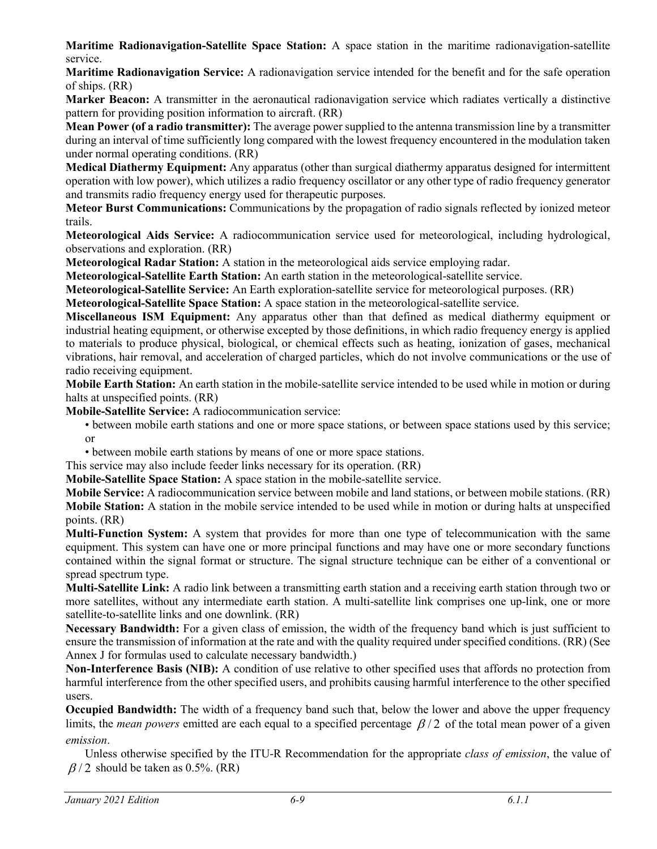**Maritime Radionavigation-Satellite Space Station:** A space station in the maritime radionavigation-satellite service.

**Maritime Radionavigation Service:** A radionavigation service intended for the benefit and for the safe operation of ships. (RR)

**Marker Beacon:** A transmitter in the aeronautical radionavigation service which radiates vertically a distinctive pattern for providing position information to aircraft. (RR)

**Mean Power (of a radio transmitter):** The average power supplied to the antenna transmission line by a transmitter during an interval of time sufficiently long compared with the lowest frequency encountered in the modulation taken under normal operating conditions. (RR)

**Medical Diathermy Equipment:** Any apparatus (other than surgical diathermy apparatus designed for intermittent operation with low power), which utilizes a radio frequency oscillator or any other type of radio frequency generator and transmits radio frequency energy used for therapeutic purposes.

**Meteor Burst Communications:** Communications by the propagation of radio signals reflected by ionized meteor trails.

**Meteorological Aids Service:** A radiocommunication service used for meteorological, including hydrological, observations and exploration. (RR)

**Meteorological Radar Station:** A station in the meteorological aids service employing radar.

**Meteorological-Satellite Earth Station:** An earth station in the meteorological-satellite service.

**Meteorological-Satellite Service:** An Earth exploration-satellite service for meteorological purposes. (RR)

**Meteorological-Satellite Space Station:** A space station in the meteorological-satellite service.

**Miscellaneous ISM Equipment:** Any apparatus other than that defined as medical diathermy equipment or industrial heating equipment, or otherwise excepted by those definitions, in which radio frequency energy is applied to materials to produce physical, biological, or chemical effects such as heating, ionization of gases, mechanical vibrations, hair removal, and acceleration of charged particles, which do not involve communications or the use of radio receiving equipment.

**Mobile Earth Station:** An earth station in the mobile-satellite service intended to be used while in motion or during halts at unspecified points. (RR)

**Mobile-Satellite Service:** A radiocommunication service:

- between mobile earth stations and one or more space stations, or between space stations used by this service; or
- between mobile earth stations by means of one or more space stations.

This service may also include feeder links necessary for its operation. (RR)

**Mobile-Satellite Space Station:** A space station in the mobile-satellite service.

**Mobile Service:** A radiocommunication service between mobile and land stations, or between mobile stations. (RR) **Mobile Station:** A station in the mobile service intended to be used while in motion or during halts at unspecified points. (RR)

**Multi-Function System:** A system that provides for more than one type of telecommunication with the same equipment. This system can have one or more principal functions and may have one or more secondary functions contained within the signal format or structure. The signal structure technique can be either of a conventional or spread spectrum type.

**Multi-Satellite Link:** A radio link between a transmitting earth station and a receiving earth station through two or more satellites, without any intermediate earth station. A multi-satellite link comprises one up-link, one or more satellite-to-satellite links and one downlink. (RR)

**Necessary Bandwidth:** For a given class of emission, the width of the frequency band which is just sufficient to ensure the transmission of information at the rate and with the quality required under specified conditions. (RR) (See Annex J for formulas used to calculate necessary bandwidth.)

**Non-Interference Basis (NIB):** A condition of use relative to other specified uses that affords no protection from harmful interference from the other specified users, and prohibits causing harmful interference to the other specified users.

**Occupied Bandwidth:** The width of a frequency band such that, below the lower and above the upper frequency limits, the *mean powers* emitted are each equal to a specified percentage  $\beta/2$  of the total mean power of a given *emission*.

Unless otherwise specified by the ITU-R Recommendation for the appropriate *class of emission*, the value of  $\beta$  / 2 should be taken as 0.5%. (RR)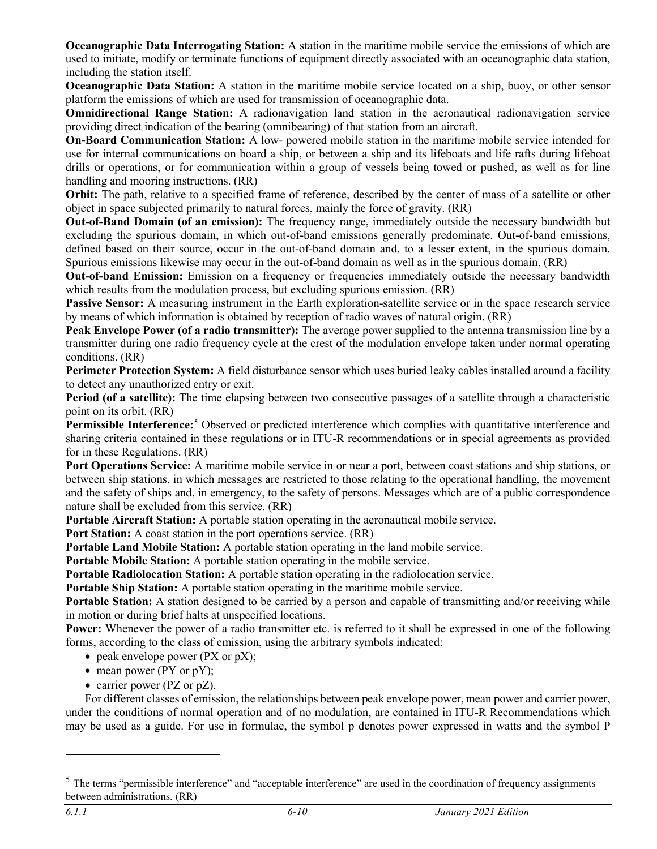**Oceanographic Data Interrogating Station:** A station in the maritime mobile service the emissions of which are used to initiate, modify or terminate functions of equipment directly associated with an oceanographic data station, including the station itself.

**Oceanographic Data Station:** A station in the maritime mobile service located on a ship, buoy, or other sensor platform the emissions of which are used for transmission of oceanographic data.

**Omnidirectional Range Station:** A radionavigation land station in the aeronautical radionavigation service providing direct indication of the bearing (omnibearing) of that station from an aircraft.

**On-Board Communication Station:** A low- powered mobile station in the maritime mobile service intended for use for internal communications on board a ship, or between a ship and its lifeboats and life rafts during lifeboat drills or operations, or for communication within a group of vessels being towed or pushed, as well as for line handling and mooring instructions. (RR)

**Orbit:** The path, relative to a specified frame of reference, described by the center of mass of a satellite or other object in space subjected primarily to natural forces, mainly the force of gravity. (RR)

**Out-of-Band Domain (of an emission):** The frequency range, immediately outside the necessary bandwidth but excluding the spurious domain, in which out-of-band emissions generally predominate. Out-of-band emissions, defined based on their source, occur in the out-of-band domain and, to a lesser extent, in the spurious domain. Spurious emissions likewise may occur in the out-of-band domain as well as in the spurious domain. (RR)

**Out-of-band Emission:** Emission on a frequency or frequencies immediately outside the necessary bandwidth which results from the modulation process, but excluding spurious emission. (RR)

**Passive Sensor:** A measuring instrument in the Earth exploration-satellite service or in the space research service by means of which information is obtained by reception of radio waves of natural origin. (RR)

**Peak Envelope Power (of a radio transmitter):** The average power supplied to the antenna transmission line by a transmitter during one radio frequency cycle at the crest of the modulation envelope taken under normal operating conditions. (RR)

**Perimeter Protection System:** A field disturbance sensor which uses buried leaky cables installed around a facility to detect any unauthorized entry or exit.

**Period (of a satellite):** The time elapsing between two consecutive passages of a satellite through a characteristic point on its orbit. (RR)

**Permissible Interference:**[5](#page-8-0) Observed or predicted interference which complies with quantitative interference and sharing criteria contained in these regulations or in ITU-R recommendations or in special agreements as provided for in these Regulations. (RR)

**Port Operations Service:** A maritime mobile service in or near a port, between coast stations and ship stations, or between ship stations, in which messages are restricted to those relating to the operational handling, the movement and the safety of ships and, in emergency, to the safety of persons. Messages which are of a public correspondence nature shall be excluded from this service. (RR)

**Portable Aircraft Station:** A portable station operating in the aeronautical mobile service.

**Port Station:** A coast station in the port operations service. (RR)

**Portable Land Mobile Station:** A portable station operating in the land mobile service.

**Portable Mobile Station:** A portable station operating in the mobile service.

**Portable Radiolocation Station:** A portable station operating in the radiolocation service.

**Portable Ship Station:** A portable station operating in the maritime mobile service.

**Portable Station:** A station designed to be carried by a person and capable of transmitting and/or receiving while in motion or during brief halts at unspecified locations.

**Power:** Whenever the power of a radio transmitter etc. is referred to it shall be expressed in one of the following forms, according to the class of emission, using the arbitrary symbols indicated:

- peak envelope power (PX or pX);
- mean power (PY or pY);
- carrier power (PZ or pZ).

For different classes of emission, the relationships between peak envelope power, mean power and carrier power, under the conditions of normal operation and of no modulation, are contained in ITU-R Recommendations which may be used as a guide. For use in formulae, the symbol p denotes power expressed in watts and the symbol P

<span id="page-8-0"></span> $<sup>5</sup>$  The terms "permissible interference" and "acceptable interference" are used in the coordination of frequency assignments</sup> between administrations. (RR)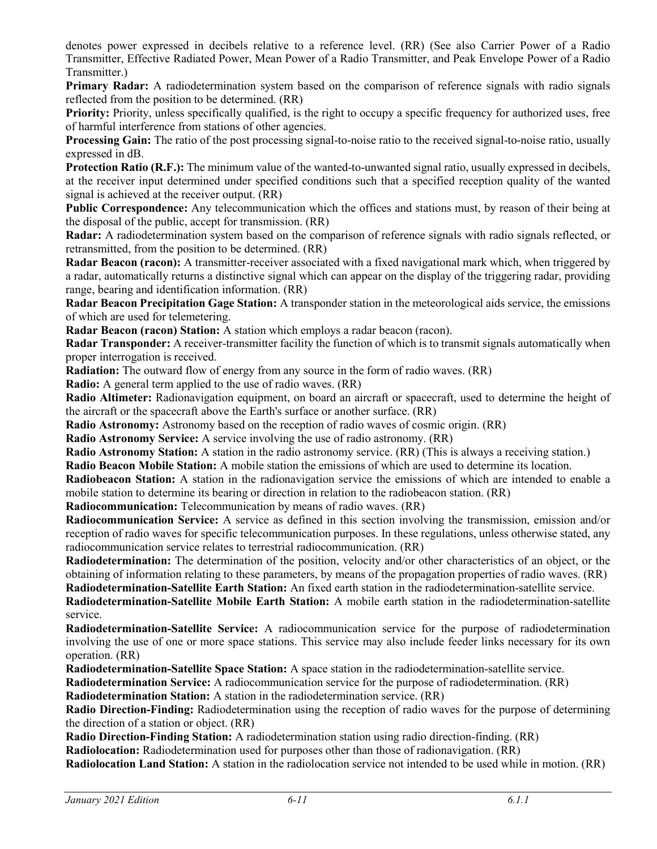denotes power expressed in decibels relative to a reference level. (RR) (See also Carrier Power of a Radio Transmitter, Effective Radiated Power, Mean Power of a Radio Transmitter, and Peak Envelope Power of a Radio Transmitter.)

**Primary Radar:** A radiodetermination system based on the comparison of reference signals with radio signals reflected from the position to be determined. (RR)

**Priority:** Priority, unless specifically qualified, is the right to occupy a specific frequency for authorized uses, free of harmful interference from stations of other agencies.

**Processing Gain:** The ratio of the post processing signal-to-noise ratio to the received signal-to-noise ratio, usually expressed in dB.

**Protection Ratio (R.F.):** The minimum value of the wanted-to-unwanted signal ratio, usually expressed in decibels, at the receiver input determined under specified conditions such that a specified reception quality of the wanted signal is achieved at the receiver output. (RR)

**Public Correspondence:** Any telecommunication which the offices and stations must, by reason of their being at the disposal of the public, accept for transmission. (RR)

**Radar:** A radiodetermination system based on the comparison of reference signals with radio signals reflected, or retransmitted, from the position to be determined. (RR)

**Radar Beacon (racon):** A transmitter-receiver associated with a fixed navigational mark which, when triggered by a radar, automatically returns a distinctive signal which can appear on the display of the triggering radar, providing range, bearing and identification information. (RR)

**Radar Beacon Precipitation Gage Station:** A transponder station in the meteorological aids service, the emissions of which are used for telemetering.

**Radar Beacon (racon) Station:** A station which employs a radar beacon (racon).

**Radar Transponder:** A receiver-transmitter facility the function of which is to transmit signals automatically when proper interrogation is received.

**Radiation:** The outward flow of energy from any source in the form of radio waves. (RR)

**Radio:** A general term applied to the use of radio waves. (RR)

**Radio Altimeter:** Radionavigation equipment, on board an aircraft or spacecraft, used to determine the height of the aircraft or the spacecraft above the Earth's surface or another surface. (RR)

**Radio Astronomy:** Astronomy based on the reception of radio waves of cosmic origin. (RR)

**Radio Astronomy Service:** A service involving the use of radio astronomy. (RR)

**Radio Astronomy Station:** A station in the radio astronomy service. (RR) (This is always a receiving station.)

**Radio Beacon Mobile Station:** A mobile station the emissions of which are used to determine its location.

**Radiobeacon Station:** A station in the radionavigation service the emissions of which are intended to enable a mobile station to determine its bearing or direction in relation to the radiobeacon station. (RR)

**Radiocommunication:** Telecommunication by means of radio waves. (RR)

**Radiocommunication Service:** A service as defined in this section involving the transmission, emission and/or reception of radio waves for specific telecommunication purposes. In these regulations, unless otherwise stated, any radiocommunication service relates to terrestrial radiocommunication. (RR)

**Radiodetermination:** The determination of the position, velocity and/or other characteristics of an object, or the obtaining of information relating to these parameters, by means of the propagation properties of radio waves. (RR) **Radiodetermination-Satellite Earth Station:** An fixed earth station in the radiodetermination-satellite service.

**Radiodetermination-Satellite Mobile Earth Station:** A mobile earth station in the radiodetermination-satellite service.

**Radiodetermination-Satellite Service:** A radiocommunication service for the purpose of radiodetermination involving the use of one or more space stations. This service may also include feeder links necessary for its own operation. (RR)

**Radiodetermination-Satellite Space Station:** A space station in the radiodetermination-satellite service.

**Radiodetermination Service:** A radiocommunication service for the purpose of radiodetermination. (RR)

**Radiodetermination Station:** A station in the radiodetermination service. (RR)

**Radio Direction-Finding:** Radiodetermination using the reception of radio waves for the purpose of determining the direction of a station or object. (RR)

**Radio Direction-Finding Station:** A radiodetermination station using radio direction-finding. (RR)

**Radiolocation:** Radiodetermination used for purposes other than those of radionavigation. (RR)

**Radiolocation Land Station:** A station in the radiolocation service not intended to be used while in motion. (RR)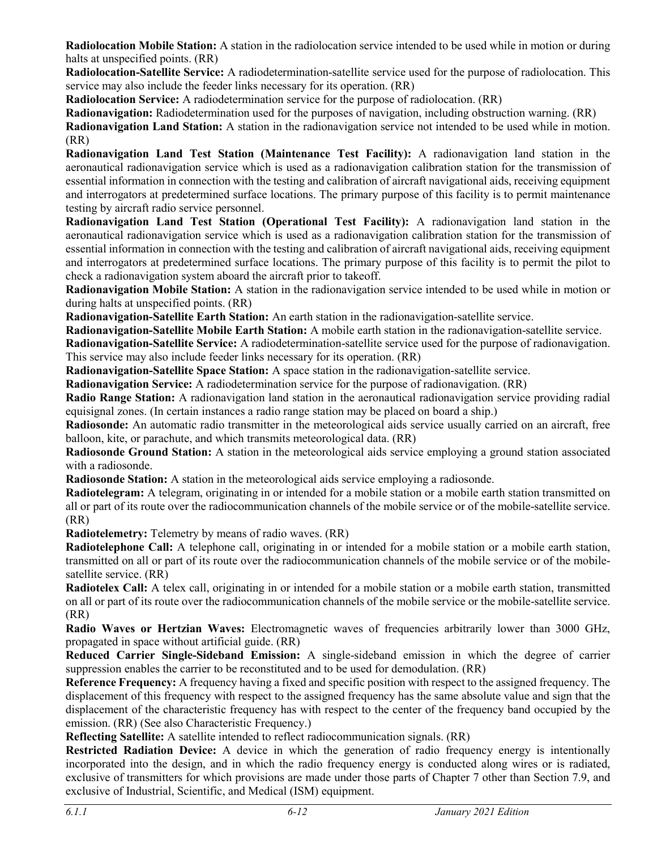**Radiolocation Mobile Station:** A station in the radiolocation service intended to be used while in motion or during halts at unspecified points. (RR)

**Radiolocation-Satellite Service:** A radiodetermination-satellite service used for the purpose of radiolocation. This service may also include the feeder links necessary for its operation. (RR)

**Radiolocation Service:** A radiodetermination service for the purpose of radiolocation. (RR)

**Radionavigation:** Radiodetermination used for the purposes of navigation, including obstruction warning. (RR)

**Radionavigation Land Station:** A station in the radionavigation service not intended to be used while in motion. (RR)

**Radionavigation Land Test Station (Maintenance Test Facility):** A radionavigation land station in the aeronautical radionavigation service which is used as a radionavigation calibration station for the transmission of essential information in connection with the testing and calibration of aircraft navigational aids, receiving equipment and interrogators at predetermined surface locations. The primary purpose of this facility is to permit maintenance testing by aircraft radio service personnel.

**Radionavigation Land Test Station (Operational Test Facility):** A radionavigation land station in the aeronautical radionavigation service which is used as a radionavigation calibration station for the transmission of essential information in connection with the testing and calibration of aircraft navigational aids, receiving equipment and interrogators at predetermined surface locations. The primary purpose of this facility is to permit the pilot to check a radionavigation system aboard the aircraft prior to takeoff.

**Radionavigation Mobile Station:** A station in the radionavigation service intended to be used while in motion or during halts at unspecified points. (RR)

**Radionavigation-Satellite Earth Station:** An earth station in the radionavigation-satellite service.

**Radionavigation-Satellite Mobile Earth Station:** A mobile earth station in the radionavigation-satellite service. **Radionavigation-Satellite Service:** A radiodetermination-satellite service used for the purpose of radionavigation. This service may also include feeder links necessary for its operation. (RR)

**Radionavigation-Satellite Space Station:** A space station in the radionavigation-satellite service.

**Radionavigation Service:** A radiodetermination service for the purpose of radionavigation. (RR)

**Radio Range Station:** A radionavigation land station in the aeronautical radionavigation service providing radial equisignal zones. (In certain instances a radio range station may be placed on board a ship.)

**Radiosonde:** An automatic radio transmitter in the meteorological aids service usually carried on an aircraft, free balloon, kite, or parachute, and which transmits meteorological data. (RR)

**Radiosonde Ground Station:** A station in the meteorological aids service employing a ground station associated with a radiosonde.

**Radiosonde Station:** A station in the meteorological aids service employing a radiosonde.

**Radiotelegram:** A telegram, originating in or intended for a mobile station or a mobile earth station transmitted on all or part of its route over the radiocommunication channels of the mobile service or of the mobile-satellite service. (RR)

**Radiotelemetry:** Telemetry by means of radio waves. (RR)

**Radiotelephone Call:** A telephone call, originating in or intended for a mobile station or a mobile earth station, transmitted on all or part of its route over the radiocommunication channels of the mobile service or of the mobilesatellite service. (RR)

**Radiotelex Call:** A telex call, originating in or intended for a mobile station or a mobile earth station, transmitted on all or part of its route over the radiocommunication channels of the mobile service or the mobile-satellite service. (RR)

**Radio Waves or Hertzian Waves:** Electromagnetic waves of frequencies arbitrarily lower than 3000 GHz, propagated in space without artificial guide. (RR)

**Reduced Carrier Single-Sideband Emission:** A single-sideband emission in which the degree of carrier suppression enables the carrier to be reconstituted and to be used for demodulation. (RR)

**Reference Frequency:** A frequency having a fixed and specific position with respect to the assigned frequency. The displacement of this frequency with respect to the assigned frequency has the same absolute value and sign that the displacement of the characteristic frequency has with respect to the center of the frequency band occupied by the emission. (RR) (See also Characteristic Frequency.)

**Reflecting Satellite:** A satellite intended to reflect radiocommunication signals. (RR)

**Restricted Radiation Device:** A device in which the generation of radio frequency energy is intentionally incorporated into the design, and in which the radio frequency energy is conducted along wires or is radiated, exclusive of transmitters for which provisions are made under those parts of Chapter 7 other than Section 7.9, and exclusive of Industrial, Scientific, and Medical (ISM) equipment.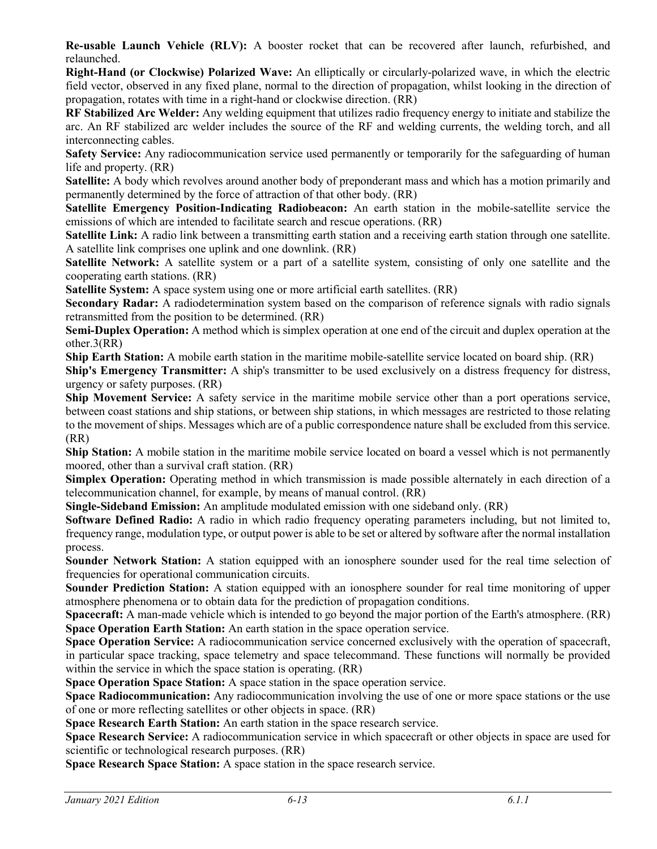**Re-usable Launch Vehicle (RLV):** A booster rocket that can be recovered after launch, refurbished, and relaunched.

**Right-Hand (or Clockwise) Polarized Wave:** An elliptically or circularly-polarized wave, in which the electric field vector, observed in any fixed plane, normal to the direction of propagation, whilst looking in the direction of propagation, rotates with time in a right-hand or clockwise direction. (RR)

**RF Stabilized Arc Welder:** Any welding equipment that utilizes radio frequency energy to initiate and stabilize the arc. An RF stabilized arc welder includes the source of the RF and welding currents, the welding torch, and all interconnecting cables.

**Safety Service:** Any radiocommunication service used permanently or temporarily for the safeguarding of human life and property. (RR)

**Satellite:** A body which revolves around another body of preponderant mass and which has a motion primarily and permanently determined by the force of attraction of that other body. (RR)

**Satellite Emergency Position-Indicating Radiobeacon:** An earth station in the mobile-satellite service the emissions of which are intended to facilitate search and rescue operations. (RR)

**Satellite Link:** A radio link between a transmitting earth station and a receiving earth station through one satellite. A satellite link comprises one uplink and one downlink. (RR)

**Satellite Network:** A satellite system or a part of a satellite system, consisting of only one satellite and the cooperating earth stations. (RR)

**Satellite System:** A space system using one or more artificial earth satellites. (RR)

**Secondary Radar:** A radiodetermination system based on the comparison of reference signals with radio signals retransmitted from the position to be determined. (RR)

**Semi-Duplex Operation:** A method which is simplex operation at one end of the circuit and duplex operation at the other[.3\(](#page-0-1)RR)

**Ship Earth Station:** A mobile earth station in the maritime mobile-satellite service located on board ship. (RR)

**Ship's Emergency Transmitter:** A ship's transmitter to be used exclusively on a distress frequency for distress, urgency or safety purposes. (RR)

**Ship Movement Service:** A safety service in the maritime mobile service other than a port operations service, between coast stations and ship stations, or between ship stations, in which messages are restricted to those relating to the movement of ships. Messages which are of a public correspondence nature shall be excluded from this service. (RR)

**Ship Station:** A mobile station in the maritime mobile service located on board a vessel which is not permanently moored, other than a survival craft station. (RR)

**Simplex Operation:** Operating method in which transmission is made possible alternately in each direction of a telecommunication channel, for example, by means of manual control. (RR)

**Single-Sideband Emission:** An amplitude modulated emission with one sideband only. (RR)

**Software Defined Radio:** A radio in which radio frequency operating parameters including, but not limited to, frequency range, modulation type, or output power is able to be set or altered by software after the normal installation process.

**Sounder Network Station:** A station equipped with an ionosphere sounder used for the real time selection of frequencies for operational communication circuits.

**Sounder Prediction Station:** A station equipped with an ionosphere sounder for real time monitoring of upper atmosphere phenomena or to obtain data for the prediction of propagation conditions.

**Spacecraft:** A man-made vehicle which is intended to go beyond the major portion of the Earth's atmosphere. (RR) **Space Operation Earth Station:** An earth station in the space operation service.

**Space Operation Service:** A radiocommunication service concerned exclusively with the operation of spacecraft, in particular space tracking, space telemetry and space telecommand. These functions will normally be provided within the service in which the space station is operating. (RR)

**Space Operation Space Station:** A space station in the space operation service.

**Space Radiocommunication:** Any radiocommunication involving the use of one or more space stations or the use of one or more reflecting satellites or other objects in space. (RR)

**Space Research Earth Station:** An earth station in the space research service.

**Space Research Service:** A radiocommunication service in which spacecraft or other objects in space are used for scientific or technological research purposes. (RR)

**Space Research Space Station:** A space station in the space research service.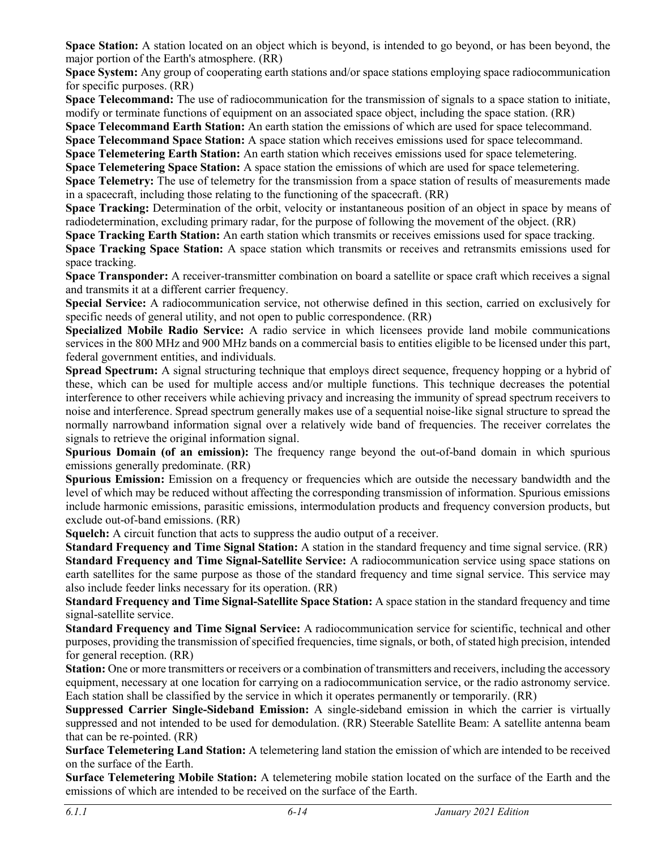**Space Station:** A station located on an object which is beyond, is intended to go beyond, or has been beyond, the major portion of the Earth's atmosphere. (RR)

**Space System:** Any group of cooperating earth stations and/or space stations employing space radiocommunication for specific purposes. (RR)

**Space Telecommand:** The use of radiocommunication for the transmission of signals to a space station to initiate, modify or terminate functions of equipment on an associated space object, including the space station. (RR)

**Space Telecommand Earth Station:** An earth station the emissions of which are used for space telecommand.

**Space Telecommand Space Station:** A space station which receives emissions used for space telecommand.

**Space Telemetering Earth Station:** An earth station which receives emissions used for space telemetering.

**Space Telemetering Space Station:** A space station the emissions of which are used for space telemetering. **Space Telemetry:** The use of telemetry for the transmission from a space station of results of measurements made in a spacecraft, including those relating to the functioning of the spacecraft. (RR)

**Space Tracking:** Determination of the orbit, velocity or instantaneous position of an object in space by means of radiodetermination, excluding primary radar, for the purpose of following the movement of the object. (RR)

**Space Tracking Earth Station:** An earth station which transmits or receives emissions used for space tracking.

**Space Tracking Space Station:** A space station which transmits or receives and retransmits emissions used for space tracking.

**Space Transponder:** A receiver-transmitter combination on board a satellite or space craft which receives a signal and transmits it at a different carrier frequency.

**Special Service:** A radiocommunication service, not otherwise defined in this section, carried on exclusively for specific needs of general utility, and not open to public correspondence. (RR)

**Specialized Mobile Radio Service:** A radio service in which licensees provide land mobile communications services in the 800 MHz and 900 MHz bands on a commercial basis to entities eligible to be licensed under this part, federal government entities, and individuals.

**Spread Spectrum:** A signal structuring technique that employs direct sequence, frequency hopping or a hybrid of these, which can be used for multiple access and/or multiple functions. This technique decreases the potential interference to other receivers while achieving privacy and increasing the immunity of spread spectrum receivers to noise and interference. Spread spectrum generally makes use of a sequential noise-like signal structure to spread the normally narrowband information signal over a relatively wide band of frequencies. The receiver correlates the signals to retrieve the original information signal.

**Spurious Domain (of an emission):** The frequency range beyond the out-of-band domain in which spurious emissions generally predominate. (RR)

**Spurious Emission:** Emission on a frequency or frequencies which are outside the necessary bandwidth and the level of which may be reduced without affecting the corresponding transmission of information. Spurious emissions include harmonic emissions, parasitic emissions, intermodulation products and frequency conversion products, but exclude out-of-band emissions. (RR)

**Squelch:** A circuit function that acts to suppress the audio output of a receiver.

**Standard Frequency and Time Signal Station:** A station in the standard frequency and time signal service. (RR) **Standard Frequency and Time Signal-Satellite Service:** A radiocommunication service using space stations on earth satellites for the same purpose as those of the standard frequency and time signal service. This service may also include feeder links necessary for its operation. (RR)

**Standard Frequency and Time Signal-Satellite Space Station:** A space station in the standard frequency and time signal-satellite service.

**Standard Frequency and Time Signal Service:** A radiocommunication service for scientific, technical and other purposes, providing the transmission of specified frequencies, time signals, or both, of stated high precision, intended for general reception. (RR)

**Station:** One or more transmitters or receivers or a combination of transmitters and receivers, including the accessory equipment, necessary at one location for carrying on a radiocommunication service, or the radio astronomy service. Each station shall be classified by the service in which it operates permanently or temporarily. (RR)

**Suppressed Carrier Single-Sideband Emission:** A single-sideband emission in which the carrier is virtually suppressed and not intended to be used for demodulation. (RR) Steerable Satellite Beam: A satellite antenna beam that can be re-pointed. (RR)

**Surface Telemetering Land Station:** A telemetering land station the emission of which are intended to be received on the surface of the Earth.

**Surface Telemetering Mobile Station:** A telemetering mobile station located on the surface of the Earth and the emissions of which are intended to be received on the surface of the Earth.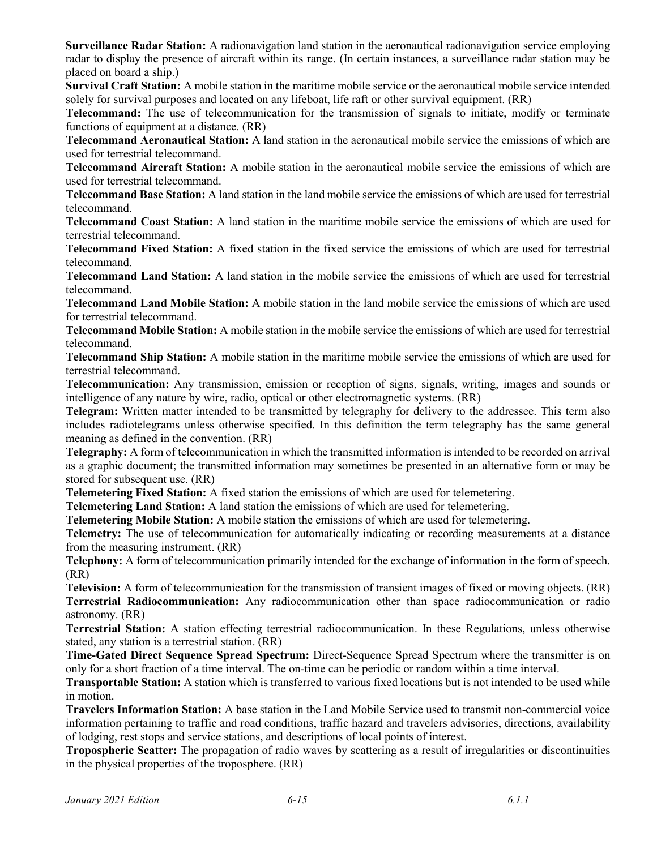**Surveillance Radar Station:** A radionavigation land station in the aeronautical radionavigation service employing radar to display the presence of aircraft within its range. (In certain instances, a surveillance radar station may be placed on board a ship.)

**Survival Craft Station:** A mobile station in the maritime mobile service or the aeronautical mobile service intended solely for survival purposes and located on any lifeboat, life raft or other survival equipment. (RR)

**Telecommand:** The use of telecommunication for the transmission of signals to initiate, modify or terminate functions of equipment at a distance. (RR)

**Telecommand Aeronautical Station:** A land station in the aeronautical mobile service the emissions of which are used for terrestrial telecommand.

**Telecommand Aircraft Station:** A mobile station in the aeronautical mobile service the emissions of which are used for terrestrial telecommand.

**Telecommand Base Station:** A land station in the land mobile service the emissions of which are used for terrestrial telecommand.

**Telecommand Coast Station:** A land station in the maritime mobile service the emissions of which are used for terrestrial telecommand.

**Telecommand Fixed Station:** A fixed station in the fixed service the emissions of which are used for terrestrial telecommand.

**Telecommand Land Station:** A land station in the mobile service the emissions of which are used for terrestrial telecommand.

**Telecommand Land Mobile Station:** A mobile station in the land mobile service the emissions of which are used for terrestrial telecommand.

**Telecommand Mobile Station:** A mobile station in the mobile service the emissions of which are used for terrestrial telecommand.

**Telecommand Ship Station:** A mobile station in the maritime mobile service the emissions of which are used for terrestrial telecommand.

**Telecommunication:** Any transmission, emission or reception of signs, signals, writing, images and sounds or intelligence of any nature by wire, radio, optical or other electromagnetic systems. (RR)

**Telegram:** Written matter intended to be transmitted by telegraphy for delivery to the addressee. This term also includes radiotelegrams unless otherwise specified. In this definition the term telegraphy has the same general meaning as defined in the convention. (RR)

**Telegraphy:** A form of telecommunication in which the transmitted information is intended to be recorded on arrival as a graphic document; the transmitted information may sometimes be presented in an alternative form or may be stored for subsequent use. (RR)

**Telemetering Fixed Station:** A fixed station the emissions of which are used for telemetering.

**Telemetering Land Station:** A land station the emissions of which are used for telemetering.

**Telemetering Mobile Station:** A mobile station the emissions of which are used for telemetering.

**Telemetry:** The use of telecommunication for automatically indicating or recording measurements at a distance from the measuring instrument. (RR)

**Telephony:** A form of telecommunication primarily intended for the exchange of information in the form of speech. (RR)

**Television:** A form of telecommunication for the transmission of transient images of fixed or moving objects. (RR) **Terrestrial Radiocommunication:** Any radiocommunication other than space radiocommunication or radio astronomy. (RR)

**Terrestrial Station:** A station effecting terrestrial radiocommunication. In these Regulations, unless otherwise stated, any station is a terrestrial station. (RR)

**Time-Gated Direct Sequence Spread Spectrum:** Direct-Sequence Spread Spectrum where the transmitter is on only for a short fraction of a time interval. The on-time can be periodic or random within a time interval.

**Transportable Station:** A station which is transferred to various fixed locations but is not intended to be used while in motion.

**Travelers Information Station:** A base station in the Land Mobile Service used to transmit non-commercial voice information pertaining to traffic and road conditions, traffic hazard and travelers advisories, directions, availability of lodging, rest stops and service stations, and descriptions of local points of interest.

**Tropospheric Scatter:** The propagation of radio waves by scattering as a result of irregularities or discontinuities in the physical properties of the troposphere. (RR)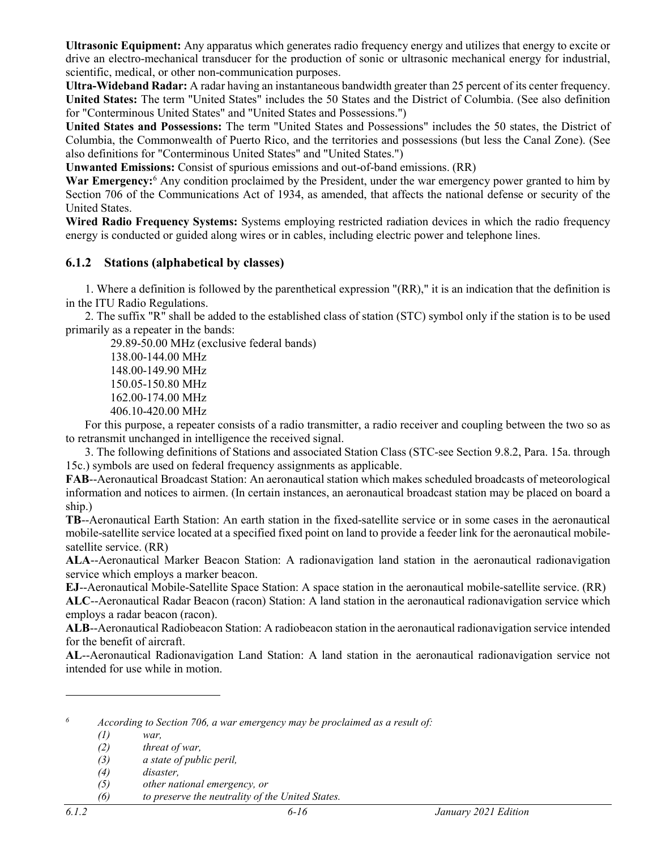**Ultrasonic Equipment:** Any apparatus which generates radio frequency energy and utilizes that energy to excite or drive an electro-mechanical transducer for the production of sonic or ultrasonic mechanical energy for industrial, scientific, medical, or other non-communication purposes.

**Ultra-Wideband Radar:** A radar having an instantaneous bandwidth greater than 25 percent of its center frequency. **United States:** The term "United States" includes the 50 States and the District of Columbia. (See also definition for "Conterminous United States" and "United States and Possessions.")

**United States and Possessions:** The term "United States and Possessions" includes the 50 states, the District of Columbia, the Commonwealth of Puerto Rico, and the territories and possessions (but less the Canal Zone). (See also definitions for "Conterminous United States" and "United States.")

**Unwanted Emissions:** Consist of spurious emissions and out-of-band emissions. (RR)

**War Emergency:**[6](#page-14-0) Any condition proclaimed by the President, under the war emergency power granted to him by Section 706 of the Communications Act of 1934, as amended, that affects the national defense or security of the United States.

**Wired Radio Frequency Systems:** Systems employing restricted radiation devices in which the radio frequency energy is conducted or guided along wires or in cables, including electric power and telephone lines.

#### **6.1.2 Stations (alphabetical by classes)**

1. Where a definition is followed by the parenthetical expression "(RR)," it is an indication that the definition is in the ITU Radio Regulations.

2. The suffix "R" shall be added to the established class of station (STC) symbol only if the station is to be used primarily as a repeater in the bands:

29.89-50.00 MHz (exclusive federal bands)

138.00-144.00 MHz 148.00-149.90 MHz 150.05-150.80 MHz 162.00-174.00 MHz 406.10-420.00 MHz

For this purpose, a repeater consists of a radio transmitter, a radio receiver and coupling between the two so as to retransmit unchanged in intelligence the received signal.

3. The following definitions of Stations and associated Station Class (STC-see Section 9.8.2, Para. 15a. through 15c.) symbols are used on federal frequency assignments as applicable.

**FAB**--Aeronautical Broadcast Station: An aeronautical station which makes scheduled broadcasts of meteorological information and notices to airmen. (In certain instances, an aeronautical broadcast station may be placed on board a ship.)

**TB**--Aeronautical Earth Station: An earth station in the fixed-satellite service or in some cases in the aeronautical mobile-satellite service located at a specified fixed point on land to provide a feeder link for the aeronautical mobilesatellite service. (RR)

**ALA**--Aeronautical Marker Beacon Station: A radionavigation land station in the aeronautical radionavigation service which employs a marker beacon.

**EJ**--Aeronautical Mobile-Satellite Space Station: A space station in the aeronautical mobile-satellite service. (RR)

**ALC**--Aeronautical Radar Beacon (racon) Station: A land station in the aeronautical radionavigation service which employs a radar beacon (racon).

**ALB**--Aeronautical Radiobeacon Station: A radiobeacon station in the aeronautical radionavigation service intended for the benefit of aircraft.

**AL**--Aeronautical Radionavigation Land Station: A land station in the aeronautical radionavigation service not intended for use while in motion.

<span id="page-14-0"></span>*<sup>6</sup> According to Section 706, a war emergency may be proclaimed as a result of:*

*(1) war,*

- *(4) disaster,*
- *(5) other national emergency, or*
- *(6) to preserve the neutrality of the United States.*

*<sup>(2)</sup> threat of war,*

*<sup>(3)</sup> a state of public peril,*